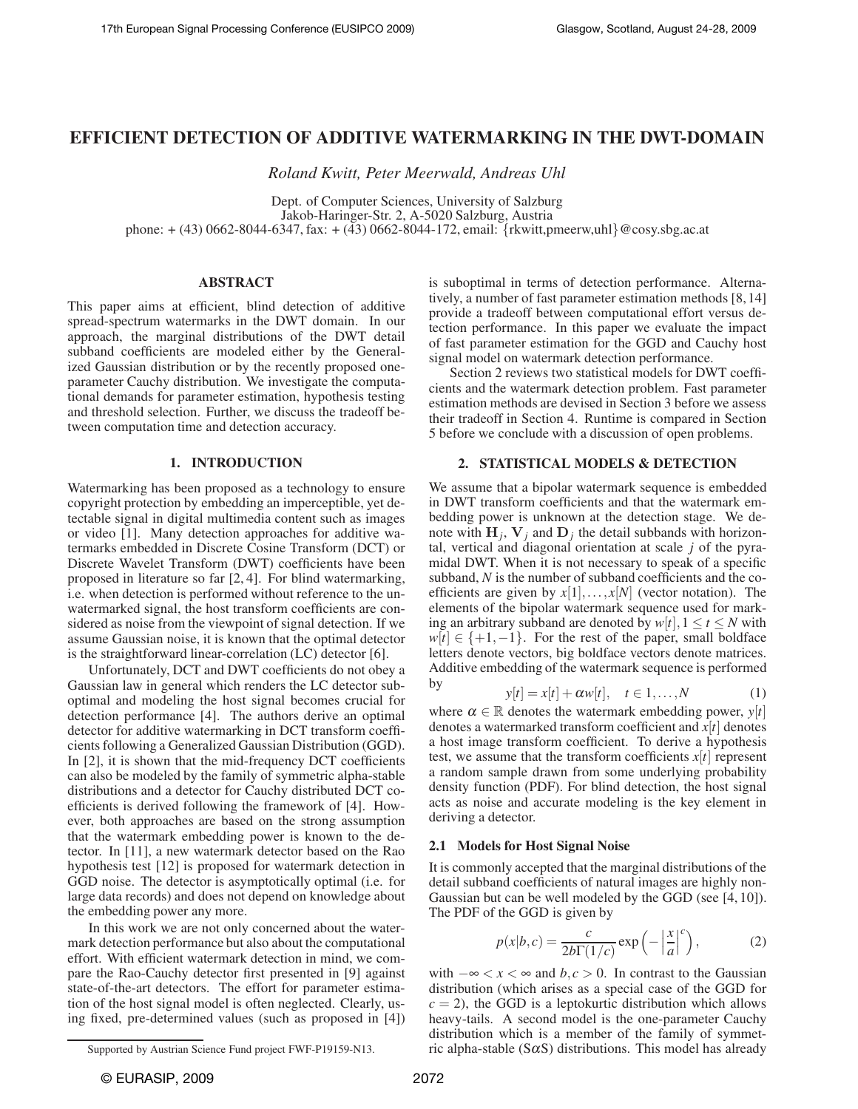# **EFFICIENT DETECTION OF ADDITIVE WATERMARKING IN THE DWT-DOMAIN**

*Roland Kwitt, Peter Meerwald, Andreas Uhl*

Dept. of Computer Sciences, University of Salzburg Jakob-Haringer-Str. 2, A-5020 Salzburg, Austria phone: + (43) 0662-8044-6347, fax: + (43) 0662-8044-172, email: {rkwitt,pmeerw,uhl}@cosy.sbg.ac.at

## **ABSTRACT**

This paper aims at efficient, blind detection of additive spread-spectrum watermarks in the DWT domain. In our approach, the marginal distributions of the DWT detail subband coefficients are modeled either by the Generalized Gaussian distribution or by the recently proposed oneparameter Cauchy distribution. We investigate the computational demands for parameter estimation, hypothesis testing and threshold selection. Further, we discuss the tradeoff between computation time and detection accuracy.

## **1. INTRODUCTION**

Watermarking has been proposed as a technology to ensure copyright protection by embedding an imperceptible, yet detectable signal in digital multimedia content such as images or video [1]. Many detection approaches for additive watermarks embedded in Discrete Cosine Transform (DCT) or Discrete Wavelet Transform (DWT) coefficients have been proposed in literature so far [2, 4]. For blind watermarking, i.e. when detection is performed without reference to the unwatermarked signal, the host transform coefficients are considered as noise from the viewpoint of signal detection. If we assume Gaussian noise, it is known that the optimal detector is the straightforward linear-correlation (LC) detector [6].

Unfortunately, DCT and DWT coefficients do not obey a Gaussian law in general which renders the LC detector suboptimal and modeling the host signal becomes crucial for detection performance [4]. The authors derive an optimal detector for additive watermarking in DCT transform coefficients following a Generalized Gaussian Distribution (GGD). In [2], it is shown that the mid-frequency DCT coefficients can also be modeled by the family of symmetric alpha-stable distributions and a detector for Cauchy distributed DCT coefficients is derived following the framework of [4]. However, both approaches are based on the strong assumption that the watermark embedding power is known to the detector. In [11], a new watermark detector based on the Rao hypothesis test [12] is proposed for watermark detection in GGD noise. The detector is asymptotically optimal (i.e. for large data records) and does not depend on knowledge about the embedding power any more.

In this work we are not only concerned about the watermark detection performance but also about the computational effort. With efficient watermark detection in mind, we compare the Rao-Cauchy detector first presented in [9] against state-of-the-art detectors. The effort for parameter estimation of the host signal model is often neglected. Clearly, using fixed, pre-determined values (such as proposed in [4])

is suboptimal in terms of detection performance. Alternatively, a number of fast parameter estimation methods [8, 14] provide a tradeoff between computational effort versus detection performance. In this paper we evaluate the impact of fast parameter estimation for the GGD and Cauchy host signal model on watermark detection performance.

Section 2 reviews two statistical models for DWT coefficients and the watermark detection problem. Fast parameter estimation methods are devised in Section 3 before we assess their tradeoff in Section 4. Runtime is compared in Section 5 before we conclude with a discussion of open problems.

## **2. STATISTICAL MODELS & DETECTION**

We assume that a bipolar watermark sequence is embedded in DWT transform coefficients and that the watermark embedding power is unknown at the detection stage. We denote with  $H_j$ ,  $V_j$  and  $D_j$  the detail subbands with horizontal, vertical and diagonal orientation at scale *j* of the pyramidal DWT. When it is not necessary to speak of a specific subband, *N* is the number of subband coefficients and the coefficients are given by  $x[1],...,x[N]$  (vector notation). The elements of the bipolar watermark sequence used for marking an arbitrary subband are denoted by  $w[t], 1 \le t \le N$  with  $w[t] \in \{+1, -1\}$ . For the rest of the paper, small boldface letters denote vectors, big boldface vectors denote matrices. Additive embedding of the watermark sequence is performed by

$$
y[t] = x[t] + \alpha w[t], \quad t \in 1, \dots, N \tag{1}
$$

where  $\alpha \in \mathbb{R}$  denotes the watermark embedding power,  $y[t]$ denotes a watermarked transform coefficient and *x*[*t*] denotes a host image transform coefficient. To derive a hypothesis test, we assume that the transform coefficients  $x[t]$  represent a random sample drawn from some underlying probability density function (PDF). For blind detection, the host signal acts as noise and accurate modeling is the key element in deriving a detector.

## **2.1 Models for Host Signal Noise**

It is commonly accepted that the marginal distributions of the detail subband coefficients of natural images are highly non-Gaussian but can be well modeled by the GGD (see [4, 10]). The PDF of the GGD is given by

$$
p(x|b,c) = \frac{c}{2b\Gamma(1/c)} \exp\left(-\left|\frac{x}{a}\right|^c\right),\tag{2}
$$

with  $-\infty < x < \infty$  and *b*,*c* > 0. In contrast to the Gaussian distribution (which arises as a special case of the GGD for  $c = 2$ ), the GGD is a leptokurtic distribution which allows heavy-tails. A second model is the one-parameter Cauchy distribution which is a member of the family of symmetric alpha-stable  $(S\alpha S)$  distributions. This model has already

Supported by Austrian Science Fund project FWF-P19159-N13.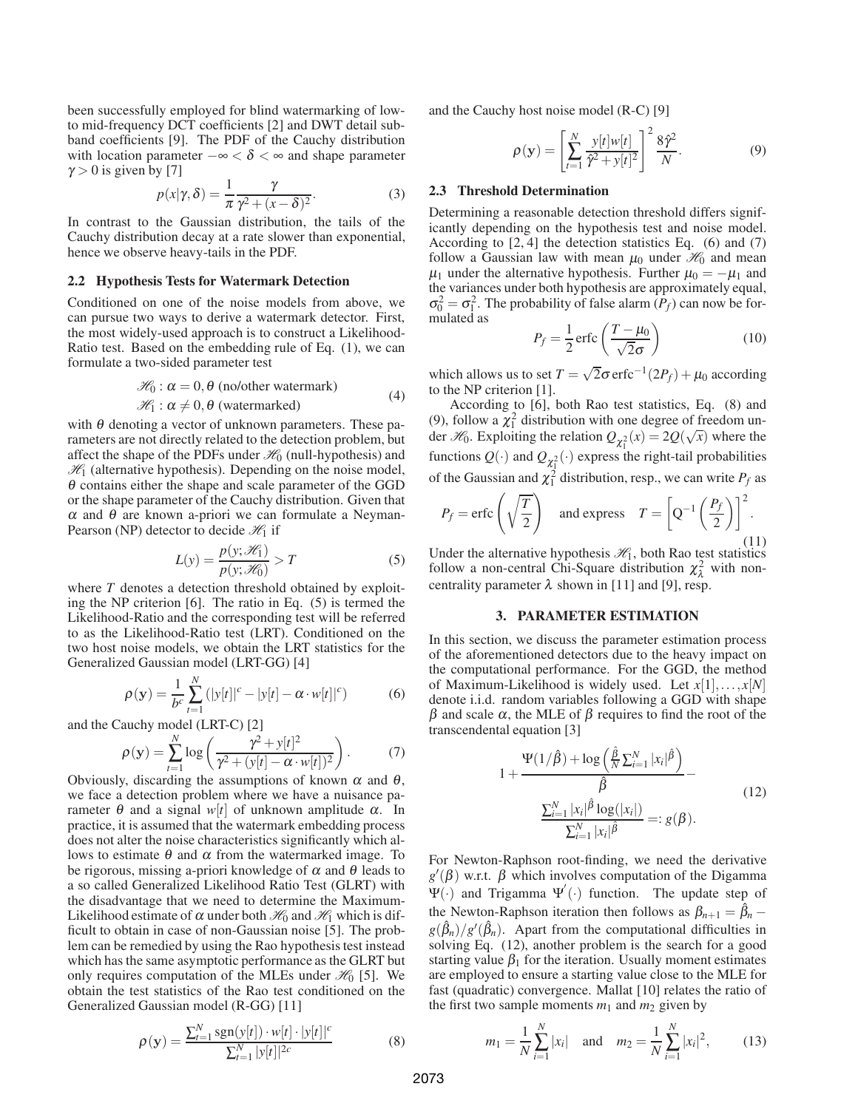been successfully employed for blind watermarking of lowto mid-frequency DCT coefficients [2] and DWT detail subband coefficients [9]. The PDF of the Cauchy distribution with location parameter  $-\infty < \delta < \infty$  and shape parameter  $\gamma > 0$  is given by [7]

$$
p(x|\gamma,\delta) = \frac{1}{\pi} \frac{\gamma}{\gamma^2 + (x - \delta)^2}.
$$
 (3)

In contrast to the Gaussian distribution, the tails of the Cauchy distribution decay at a rate slower than exponential, hence we observe heavy-tails in the PDF.

#### **2.2 Hypothesis Tests for Watermark Detection**

Conditioned on one of the noise models from above, we can pursue two ways to derive a watermark detector. First, the most widely-used approach is to construct a Likelihood-Ratio test. Based on the embedding rule of Eq. (1), we can formulate a two-sided parameter test

$$
\mathcal{H}_0: \alpha = 0, \theta \text{ (no/other watermark)}
$$
  

$$
\mathcal{H}_1: \alpha \neq 0, \theta \text{ (watermarked)}
$$
 (4)

with  $\theta$  denoting a vector of unknown parameters. These parameters are not directly related to the detection problem, but affect the shape of the PDFs under  $\mathcal{H}_0$  (null-hypothesis) and  $\mathcal{H}_1$  (alternative hypothesis). Depending on the noise model, <sup>θ</sup> contains either the shape and scale parameter of the GGD or the shape parameter of the Cauchy distribution. Given that  $\alpha$  and  $\theta$  are known a-priori we can formulate a Neyman-Pearson (NP) detector to decide  $\mathcal{H}_1$  if

$$
L(y) = \frac{p(y; \mathcal{H}_1)}{p(y; \mathcal{H}_0)} > T
$$
\n(5)

where *T* denotes a detection threshold obtained by exploiting the NP criterion [6]. The ratio in Eq. (5) is termed the Likelihood-Ratio and the corresponding test will be referred to as the Likelihood-Ratio test (LRT). Conditioned on the two host noise models, we obtain the LRT statistics for the Generalized Gaussian model (LRT-GG) [4]

$$
\rho(\mathbf{y}) = \frac{1}{b^c} \sum_{t=1}^{N} (|y[t]|^c - |y[t]-\alpha \cdot w[t]|^c)
$$
 (6)

and the Cauchy model (LRT-C) [2]

$$
\rho(\mathbf{y}) = \sum_{t=1}^{N} \log \left( \frac{\gamma^2 + y[t]^2}{\gamma^2 + (y[t] - \alpha \cdot w[t])^2} \right). \tag{7}
$$

Obviously, discarding the assumptions of known  $\alpha$  and  $\theta$ , we face a detection problem where we have a nuisance parameter *θ* and a signal *w*[*t*] of unknown amplitude  $α$ . In practice, it is assumed that the watermark embedding process does not alter the noise characteristics significantly which allows to estimate  $θ$  and  $α$  from the watermarked image. To be rigorous, missing a-priori knowledge of  $\alpha$  and  $\theta$  leads to a so called Generalized Likelihood Ratio Test (GLRT) with the disadvantage that we need to determine the Maximum-Likelihood estimate of  $\alpha$  under both  $\mathcal{H}_0$  and  $\mathcal{H}_1$  which is difficult to obtain in case of non-Gaussian noise [5]. The problem can be remedied by using the Rao hypothesis test instead which has the same asymptotic performance as the GLRT but only requires computation of the MLEs under  $\mathcal{H}_0$  [5]. We obtain the test statistics of the Rao test conditioned on the Generalized Gaussian model (R-GG) [11]

$$
\rho(\mathbf{y}) = \frac{\sum_{t=1}^{N} sgn(y[t]) \cdot w[t] \cdot |y[t]|^c}{\sum_{t=1}^{N} |y[t]|^{2c}}
$$
(8)

and the Cauchy host noise model (R-C) [9]

$$
\rho(\mathbf{y}) = \left[\sum_{t=1}^{N} \frac{y[t]w[t]}{\hat{\gamma}^2 + y[t]^2}\right]^2 \frac{8\hat{\gamma}^2}{N}.
$$
\n(9)

#### **2.3 Threshold Determination**

Determining a reasonable detection threshold differs significantly depending on the hypothesis test and noise model. According to [2, 4] the detection statistics Eq. (6) and (7) follow a Gaussian law with mean  $\mu_0$  under  $\mathcal{H}_0$  and mean  $\mu_1$  under the alternative hypothesis. Further  $\mu_0 = -\mu_1$  and the variances under both hypothesis are approximately equal,  $\sigma_0^2 = \sigma_1^2$ . The probability of false alarm  $(P_f)$  can now be formulated as

$$
P_f = \frac{1}{2} \operatorname{erfc} \left( \frac{T - \mu_0}{\sqrt{2}\sigma} \right) \tag{10}
$$

which allows us to set  $T = \sqrt{2}\sigma \,\text{erfc}^{-1}(2P_f) + \mu_0$  according to the NP criterion [1].

According to [6], both Rao test statistics, Eq. (8) and (9), follow a  $\chi_1^2$  distribution with one degree of freedom under  $\mathcal{H}_0$ . Exploiting the relation  $Q_{\chi_1^2}(x) = 2Q(\sqrt{x})$  where the functions  $Q(\cdot)$  and  $Q_{\chi_1^2}(\cdot)$  express the right-tail probabilities of the Gaussian and  $\chi_1^2$  distribution, resp., we can write  $P_f$  as

$$
P_f = \text{erfc}\left(\sqrt{\frac{T}{2}}\right) \quad \text{and express} \quad T = \left[Q^{-1}\left(\frac{P_f}{2}\right)\right]^2.
$$
 (11)

(11)<br>Under the alternative hypothesis  $\mathcal{H}_1$ , both Rao test statistics follow a non-central Chi-Square distribution  $\chi^2_\lambda$  with noncentrality parameter  $\lambda$  shown in [11] and [9], resp.

#### **3. PARAMETER ESTIMATION**

In this section, we discuss the parameter estimation process of the aforementioned detectors due to the heavy impact on the computational performance. For the GGD, the method of Maximum-Likelihood is widely used. Let *x*[1],...,*x*[*N*] denote i.i.d. random variables following a GGD with shape  $β$  and scale  $α$ , the MLE of  $β$  requires to find the root of the transcendental equation [3]

$$
1 + \frac{\Psi(1/\hat{\beta}) + \log\left(\frac{\hat{\beta}}{N}\sum_{i=1}^{N}|x_i|^{\hat{\beta}}\right)}{\hat{\beta}} - \frac{\sum_{i=1}^{N}|x_i|^{\hat{\beta}}\log(|x_i|)}{\sum_{i=1}^{N}|x_i|^{\hat{\beta}}} =: g(\beta).
$$
\n(12)

For Newton-Raphson root-finding, we need the derivative  $g'(\beta)$  w.r.t.  $\beta$  which involves computation of the Digamma  $\Psi(\cdot)$  and Trigamma  $\Psi'(\cdot)$  function. The update step of the Newton-Raphson iteration then follows as  $\beta_{n+1} = \beta_n - \beta_n$  $g(\hat{\beta}_n)/g'(\hat{\beta}_n)$ . Apart from the computational difficulties in solving Eq. (12), another problem is the search for a good starting value  $\beta_1$  for the iteration. Usually moment estimates are employed to ensure a starting value close to the MLE for fast (quadratic) convergence. Mallat [10] relates the ratio of the first two sample moments  $m_1$  and  $m_2$  given by

$$
m_1 = \frac{1}{N} \sum_{i=1}^{N} |x_i|
$$
 and  $m_2 = \frac{1}{N} \sum_{i=1}^{N} |x_i|^2$ , (13)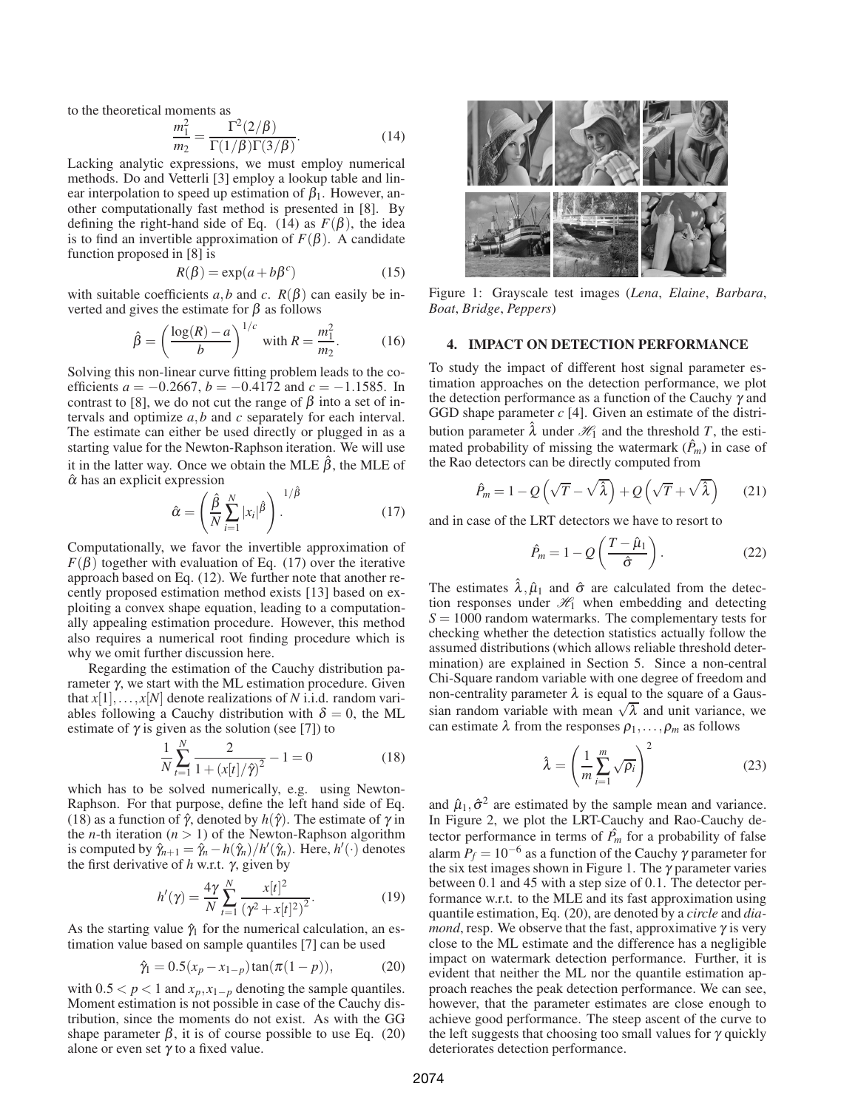to the theoretical moments as

$$
\frac{m_1^2}{m_2} = \frac{\Gamma^2(2/\beta)}{\Gamma(1/\beta)\Gamma(3/\beta)}.
$$
\n(14)

Lacking analytic expressions, we must employ numerical methods. Do and Vetterli [3] employ a lookup table and linear interpolation to speed up estimation of  $\beta_1$ . However, another computationally fast method is presented in [8]. By defining the right-hand side of Eq. (14) as  $F(\beta)$ , the idea is to find an invertible approximation of  $F(\beta)$ . A candidate function proposed in [8] is

$$
R(\beta) = \exp(a + b\beta^c)
$$
 (15)

with suitable coefficients *a*,*b* and *c*.  $R(\beta)$  can easily be inverted and gives the estimate for  $\beta$  as follows

$$
\hat{\beta} = \left(\frac{\log(R) - a}{b}\right)^{1/c}
$$
 with  $R = \frac{m_1^2}{m_2}$ . (16)

Solving this non-linear curve fitting problem leads to the coefficients  $a = -0.2667$ ,  $b = -0.4172$  and  $c = -1.1585$ . In contrast to [8], we do not cut the range of  $\beta$  into a set of intervals and optimize *a*,*b* and *c* separately for each interval. The estimate can either be used directly or plugged in as a starting value for the Newton-Raphson iteration. We will use it in the latter way. Once we obtain the MLE  $\hat{\beta}$ , the MLE of  $\hat{\alpha}$  has an explicit expression

$$
\hat{\alpha} = \left(\frac{\hat{\beta}}{N} \sum_{i=1}^{N} |x_i|^{\hat{\beta}}\right)^{1/\hat{\beta}}.
$$
 (17)

Computationally, we favor the invertible approximation of  $F(\beta)$  together with evaluation of Eq. (17) over the iterative approach based on Eq. (12). We further note that another recently proposed estimation method exists [13] based on exploiting a convex shape equation, leading to a computationally appealing estimation procedure. However, this method also requires a numerical root finding procedure which is why we omit further discussion here.

Regarding the estimation of the Cauchy distribution parameter γ, we start with the ML estimation procedure. Given that  $x[1],...,x[N]$  denote realizations of *N* i.i.d. random variables following a Cauchy distribution with  $\delta = 0$ , the ML estimate of  $\gamma$  is given as the solution (see [7]) to

$$
\frac{1}{N} \sum_{t=1}^{N} \frac{2}{1 + (x[t]/\hat{\gamma})^2} - 1 = 0
$$
\n(18)

which has to be solved numerically, e.g. using Newton-Raphson. For that purpose, define the left hand side of Eq. (18) as a function of  $\hat{\gamma}$ , denoted by  $h(\hat{\gamma})$ . The estimate of  $\gamma$  in the *n*-th iteration  $(n > 1)$  of the Newton-Raphson algorithm is computed by  $\hat{\gamma}_{n+1} = \hat{\gamma}_n - h(\hat{\gamma}_n)/h'(\hat{\gamma}_n)$ . Here,  $h'(\cdot)$  denotes the first derivative of *h* w.r.t. γ, given by

$$
h'(\gamma) = \frac{4\gamma}{N} \sum_{t=1}^{N} \frac{x[t]^2}{(\gamma^2 + x[t]^2)^2}.
$$
 (19)

As the starting value  $\hat{\gamma}_1$  for the numerical calculation, an estimation value based on sample quantiles [7] can be used

$$
\hat{\gamma}_1 = 0.5(x_p - x_{1-p})\tan(\pi(1-p)),\tag{20}
$$

with  $0.5 < p < 1$  and  $x_p, x_{1-p}$  denoting the sample quantiles. Moment estimation is not possible in case of the Cauchy distribution, since the moments do not exist. As with the GG shape parameter  $\beta$ , it is of course possible to use Eq. (20) alone or even set  $\gamma$  to a fixed value.



Figure 1: Grayscale test images (*Lena*, *Elaine*, *Barbara*, *Boat*, *Bridge*, *Peppers*)

### **4. IMPACT ON DETECTION PERFORMANCE**

To study the impact of different host signal parameter estimation approaches on the detection performance, we plot the detection performance as a function of the Cauchy  $\gamma$  and GGD shape parameter *c* [4]. Given an estimate of the distribution parameter  $\lambda$  under  $\mathcal{H}_1$  and the threshold *T*, the estimated probability of missing the watermark  $(\hat{P}_m)$  in case of the Rao detectors can be directly computed from

$$
\hat{P}_m = 1 - Q\left(\sqrt{T} - \sqrt{\hat{\lambda}}\right) + Q\left(\sqrt{T} + \sqrt{\hat{\lambda}}\right) \tag{21}
$$

and in case of the LRT detectors we have to resort to

$$
\hat{P}_m = 1 - Q\left(\frac{T - \hat{\mu}_1}{\hat{\sigma}}\right). \tag{22}
$$

The estimates  $\hat{\lambda}, \hat{\mu}_1$  and  $\hat{\sigma}$  are calculated from the detection responses under  $\mathcal{H}_1$  when embedding and detecting  $S = 1000$  random watermarks. The complementary tests for checking whether the detection statistics actually follow the assumed distributions (which allows reliable threshold determination) are explained in Section 5. Since a non-central Chi-Square random variable with one degree of freedom and non-centrality parameter  $\lambda$  is equal to the square of a Gaussian random variable with mean  $\sqrt{\lambda}$  and unit variance, we can estimate  $\lambda$  from the responses  $\rho_1, \ldots, \rho_m$  as follows

$$
\hat{\lambda} = \left(\frac{1}{m} \sum_{i=1}^{m} \sqrt{\rho_i}\right)^2 \tag{23}
$$

and  $\hat{\mu}_1, \hat{\sigma}^2$  are estimated by the sample mean and variance. In Figure 2, we plot the LRT-Cauchy and Rao-Cauchy detector performance in terms of  $\hat{P}_m$  for a probability of false alarm  $P_f = 10^{-6}$  as a function of the Cauchy  $\gamma$  parameter for the six test images shown in Figure 1. The  $\gamma$  parameter varies between 0.1 and 45 with a step size of 0.1. The detector performance w.r.t. to the MLE and its fast approximation using quantile estimation, Eq. (20), are denoted by a *circle* and *diamond*, resp. We observe that the fast, approximative  $\gamma$  is very close to the ML estimate and the difference has a negligible impact on watermark detection performance. Further, it is evident that neither the ML nor the quantile estimation approach reaches the peak detection performance. We can see, however, that the parameter estimates are close enough to achieve good performance. The steep ascent of the curve to the left suggests that choosing too small values for  $\gamma$  quickly deteriorates detection performance.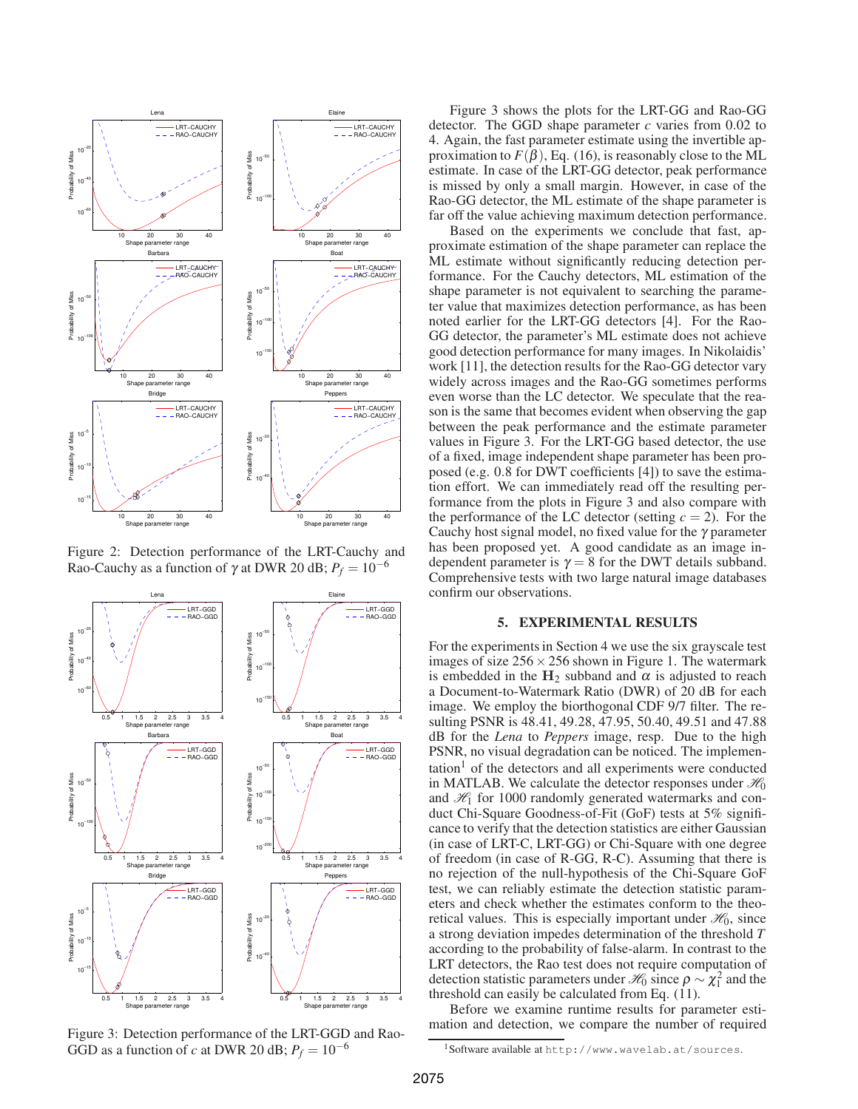

Figure 2: Detection performance of the LRT-Cauchy and Rao-Cauchy as a function of  $\gamma$  at DWR 20 dB;  $P_f = 10^{-6}$ 



Figure 3: Detection performance of the LRT-GGD and Rao-GGD as a function of *c* at DWR 20 dB;  $P_f = 10^{-6}$ 

Figure 3 shows the plots for the LRT-GG and Rao-GG detector. The GGD shape parameter *c* varies from 0.02 to 4. Again, the fast parameter estimate using the invertible approximation to  $F(\beta)$ , Eq. (16), is reasonably close to the ML estimate. In case of the LRT-GG detector, peak performance is missed by only a small margin. However, in case of the Rao-GG detector, the ML estimate of the shape parameter is far off the value achieving maximum detection performance.

Based on the experiments we conclude that fast, approximate estimation of the shape parameter can replace the ML estimate without significantly reducing detection performance. For the Cauchy detectors, ML estimation of the shape parameter is not equivalent to searching the parameter value that maximizes detection performance, as has been noted earlier for the LRT-GG detectors [4]. For the Rao-GG detector, the parameter's ML estimate does not achieve good detection performance for many images. In Nikolaidis' work [11], the detection results for the Rao-GG detector vary widely across images and the Rao-GG sometimes performs even worse than the LC detector. We speculate that the reason is the same that becomes evident when observing the gap between the peak performance and the estimate parameter values in Figure 3. For the LRT-GG based detector, the use of a fixed, image independent shape parameter has been proposed (e.g. 0.8 for DWT coefficients [4]) to save the estimation effort. We can immediately read off the resulting performance from the plots in Figure 3 and also compare with the performance of the LC detector (setting  $c = 2$ ). For the Cauchy host signal model, no fixed value for the  $\gamma$  parameter has been proposed yet. A good candidate as an image independent parameter is  $\gamma = 8$  for the DWT details subband. Comprehensive tests with two large natural image databases confirm our observations.

### **5. EXPERIMENTAL RESULTS**

For the experiments in Section 4 we use the six grayscale test images of size  $256 \times 256$  shown in Figure 1. The watermark is embedded in the  $H_2$  subband and  $\alpha$  is adjusted to reach a Document-to-Watermark Ratio (DWR) of 20 dB for each image. We employ the biorthogonal CDF 9/7 filter. The resulting PSNR is 48.41, 49.28, 47.95, 50.40, 49.51 and 47.88 dB for the *Lena* to *Peppers* image, resp. Due to the high PSNR, no visual degradation can be noticed. The implemen- $\text{tation}^1$  of the detectors and all experiments were conducted in MATLAB. We calculate the detector responses under  $\mathcal{H}_0$ and  $H_1$  for 1000 randomly generated watermarks and conduct Chi-Square Goodness-of-Fit (GoF) tests at 5% significance to verify that the detection statistics are either Gaussian (in case of LRT-C, LRT-GG) or Chi-Square with one degree of freedom (in case of R-GG, R-C). Assuming that there is no rejection of the null-hypothesis of the Chi-Square GoF test, we can reliably estimate the detection statistic parameters and check whether the estimates conform to the theoretical values. This is especially important under  $\mathcal{H}_0$ , since a strong deviation impedes determination of the threshold *T* according to the probability of false-alarm. In contrast to the LRT detectors, the Rao test does not require computation of detection statistic parameters under  $\mathcal{H}_0$  since  $\rho \sim \chi_1^2$  and the threshold can easily be calculated from Eq. (11).

Before we examine runtime results for parameter estimation and detection, we compare the number of required

<sup>1</sup>Software available at http://www.wavelab.at/sources.